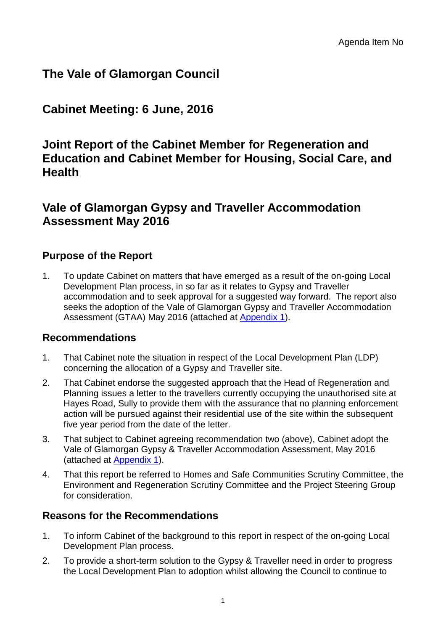# **The Vale of Glamorgan Council**

# **Cabinet Meeting: 6 June, 2016**

## **Joint Report of the Cabinet Member for Regeneration and Education and Cabinet Member for Housing, Social Care, and Health**

## **Vale of Glamorgan Gypsy and Traveller Accommodation Assessment May 2016**

## **Purpose of the Report**

1. To update Cabinet on matters that have emerged as a result of the on-going Local Development Plan process, in so far as it relates to Gypsy and Traveller accommodation and to seek approval for a suggested way forward. The report also seeks the adoption of the Vale of Glamorgan Gypsy and Traveller Accommodation Assessment (GTAA) May 2016 (attached at [Appendix 1\)](http://www.valeofglamorgan.gov.uk/Documents/_Committee%20Reports/Cabinet/2016/16-06-06/Appendices/Vale-of-Glamorgan-Gypsy-and-Traveller-Accommodation-Assessment-May-2016-Appendix-1.pdf).

## **Recommendations**

- 1. That Cabinet note the situation in respect of the Local Development Plan (LDP) concerning the allocation of a Gypsy and Traveller site.
- 2. That Cabinet endorse the suggested approach that the Head of Regeneration and Planning issues a letter to the travellers currently occupying the unauthorised site at Hayes Road, Sully to provide them with the assurance that no planning enforcement action will be pursued against their residential use of the site within the subsequent five year period from the date of the letter.
- 3. That subject to Cabinet agreeing recommendation two (above), Cabinet adopt the Vale of Glamorgan Gypsy & Traveller Accommodation Assessment, May 2016 (attached at [Appendix 1\)](http://www.valeofglamorgan.gov.uk/Documents/_Committee%20Reports/Cabinet/2016/16-06-06/Appendices/Vale-of-Glamorgan-Gypsy-and-Traveller-Accommodation-Assessment-May-2016-Appendix-1.pdf).
- 4. That this report be referred to Homes and Safe Communities Scrutiny Committee, the Environment and Regeneration Scrutiny Committee and the Project Steering Group for consideration.

## **Reasons for the Recommendations**

- 1. To inform Cabinet of the background to this report in respect of the on-going Local Development Plan process.
- 2. To provide a short-term solution to the Gypsy & Traveller need in order to progress the Local Development Plan to adoption whilst allowing the Council to continue to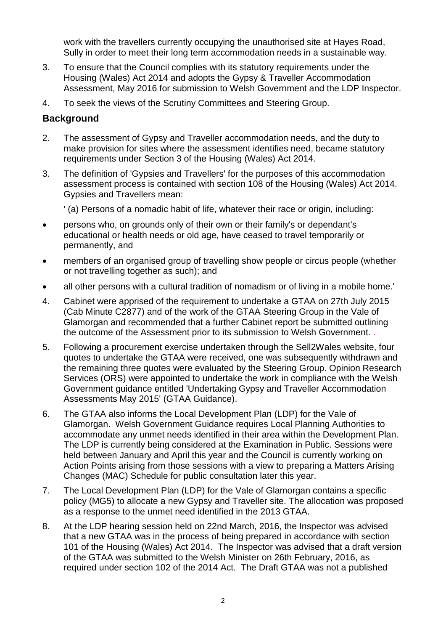work with the travellers currently occupying the unauthorised site at Hayes Road, Sully in order to meet their long term accommodation needs in a sustainable way.

- 3. To ensure that the Council complies with its statutory requirements under the Housing (Wales) Act 2014 and adopts the Gypsy & Traveller Accommodation Assessment, May 2016 for submission to Welsh Government and the LDP Inspector.
- 4. To seek the views of the Scrutiny Committees and Steering Group.

### **Background**

- 2. The assessment of Gypsy and Traveller accommodation needs, and the duty to make provision for sites where the assessment identifies need, became statutory requirements under Section 3 of the Housing (Wales) Act 2014.
- 3. The definition of 'Gypsies and Travellers' for the purposes of this accommodation assessment process is contained with section 108 of the Housing (Wales) Act 2014. Gypsies and Travellers mean:

' (a) Persons of a nomadic habit of life, whatever their race or origin, including:

- persons who, on grounds only of their own or their family's or dependant's educational or health needs or old age, have ceased to travel temporarily or permanently, and
- members of an organised group of travelling show people or circus people (whether or not travelling together as such); and
- all other persons with a cultural tradition of nomadism or of living in a mobile home.'
- 4. Cabinet were apprised of the requirement to undertake a GTAA on 27th July 2015 (Cab Minute C2877) and of the work of the GTAA Steering Group in the Vale of Glamorgan and recommended that a further Cabinet report be submitted outlining the outcome of the Assessment prior to its submission to Welsh Government. .
- 5. Following a procurement exercise undertaken through the Sell2Wales website, four quotes to undertake the GTAA were received, one was subsequently withdrawn and the remaining three quotes were evaluated by the Steering Group. Opinion Research Services (ORS) were appointed to undertake the work in compliance with the Welsh Government guidance entitled 'Undertaking Gypsy and Traveller Accommodation Assessments May 2015' (GTAA Guidance).
- 6. The GTAA also informs the Local Development Plan (LDP) for the Vale of Glamorgan. Welsh Government Guidance requires Local Planning Authorities to accommodate any unmet needs identified in their area within the Development Plan. The LDP is currently being considered at the Examination in Public. Sessions were held between January and April this year and the Council is currently working on Action Points arising from those sessions with a view to preparing a Matters Arising Changes (MAC) Schedule for public consultation later this year.
- 7. The Local Development Plan (LDP) for the Vale of Glamorgan contains a specific policy (MG5) to allocate a new Gypsy and Traveller site. The allocation was proposed as a response to the unmet need identified in the 2013 GTAA.
- 8. At the LDP hearing session held on 22nd March, 2016, the Inspector was advised that a new GTAA was in the process of being prepared in accordance with section 101 of the Housing (Wales) Act 2014. The Inspector was advised that a draft version of the GTAA was submitted to the Welsh Minister on 26th February, 2016, as required under section 102 of the 2014 Act. The Draft GTAA was not a published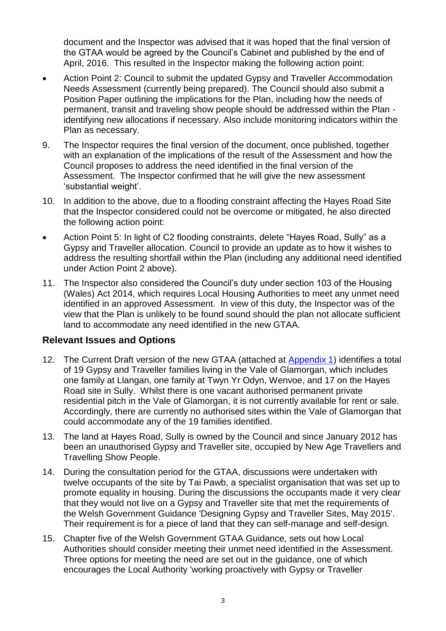document and the Inspector was advised that it was hoped that the final version of the GTAA would be agreed by the Council's Cabinet and published by the end of April, 2016. This resulted in the Inspector making the following action point:

- Action Point 2: Council to submit the updated Gypsy and Traveller Accommodation Needs Assessment (currently being prepared). The Council should also submit a Position Paper outlining the implications for the Plan, including how the needs of permanent, transit and traveling show people should be addressed within the Plan identifying new allocations if necessary. Also include monitoring indicators within the Plan as necessary.
- 9. The Inspector requires the final version of the document, once published, together with an explanation of the implications of the result of the Assessment and how the Council proposes to address the need identified in the final version of the Assessment. The Inspector confirmed that he will give the new assessment 'substantial weight'.
- 10. In addition to the above, due to a flooding constraint affecting the Hayes Road Site that the Inspector considered could not be overcome or mitigated, he also directed the following action point:
- Action Point 5: In light of C2 flooding constraints, delete "Hayes Road, Sully" as a Gypsy and Traveller allocation. Council to provide an update as to how it wishes to address the resulting shortfall within the Plan (including any additional need identified under Action Point 2 above).
- 11. The Inspector also considered the Council's duty under section 103 of the Housing (Wales) Act 2014, which requires Local Housing Authorities to meet any unmet need identified in an approved Assessment. In view of this duty, the Inspector was of the view that the Plan is unlikely to be found sound should the plan not allocate sufficient land to accommodate any need identified in the new GTAA.

## **Relevant Issues and Options**

- 12. The Current Draft version of the new GTAA (attached at [Appendix 1\)](http://www.valeofglamorgan.gov.uk/Documents/_Committee%20Reports/Cabinet/2016/16-06-06/Appendices/Vale-of-Glamorgan-Gypsy-and-Traveller-Accommodation-Assessment-May-2016-Appendix-1.pdf) identifies a total of 19 Gypsy and Traveller families living in the Vale of Glamorgan, which includes one family at Llangan, one family at Twyn Yr Odyn, Wenvoe, and 17 on the Hayes Road site in Sully. Whilst there is one vacant authorised permanent private residential pitch in the Vale of Glamorgan, it is not currently available for rent or sale. Accordingly, there are currently no authorised sites within the Vale of Glamorgan that could accommodate any of the 19 families identified.
- 13. The land at Hayes Road, Sully is owned by the Council and since January 2012 has been an unauthorised Gypsy and Traveller site, occupied by New Age Travellers and Travelling Show People.
- 14. During the consultation period for the GTAA, discussions were undertaken with twelve occupants of the site by Tai Pawb, a specialist organisation that was set up to promote equality in housing. During the discussions the occupants made it very clear that they would not live on a Gypsy and Traveller site that met the requirements of the Welsh Government Guidance 'Designing Gypsy and Traveller Sites, May 2015'. Their requirement is for a piece of land that they can self-manage and self-design.
- 15. Chapter five of the Welsh Government GTAA Guidance, sets out how Local Authorities should consider meeting their unmet need identified in the Assessment. Three options for meeting the need are set out in the guidance, one of which encourages the Local Authority 'working proactively with Gypsy or Traveller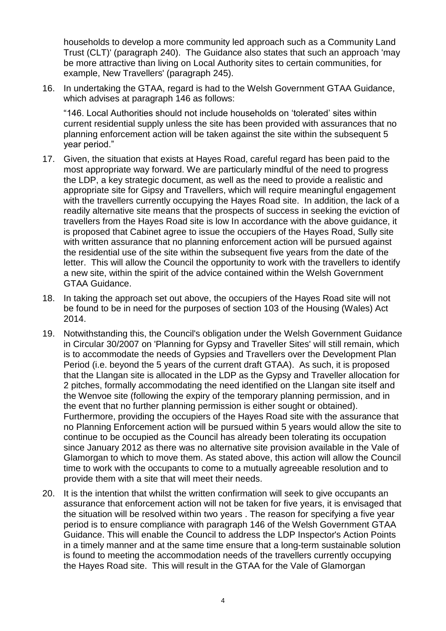households to develop a more community led approach such as a Community Land Trust (CLT)' (paragraph 240). The Guidance also states that such an approach 'may be more attractive than living on Local Authority sites to certain communities, for example, New Travellers' (paragraph 245).

16. In undertaking the GTAA, regard is had to the Welsh Government GTAA Guidance, which advises at paragraph 146 as follows:

"146. Local Authorities should not include households on 'tolerated' sites within current residential supply unless the site has been provided with assurances that no planning enforcement action will be taken against the site within the subsequent 5 year period."

- 17. Given, the situation that exists at Hayes Road, careful regard has been paid to the most appropriate way forward. We are particularly mindful of the need to progress the LDP, a key strategic document, as well as the need to provide a realistic and appropriate site for Gipsy and Travellers, which will require meaningful engagement with the travellers currently occupying the Hayes Road site. In addition, the lack of a readily alternative site means that the prospects of success in seeking the eviction of travellers from the Hayes Road site is low In accordance with the above guidance, it is proposed that Cabinet agree to issue the occupiers of the Hayes Road, Sully site with written assurance that no planning enforcement action will be pursued against the residential use of the site within the subsequent five years from the date of the letter. This will allow the Council the opportunity to work with the travellers to identify a new site, within the spirit of the advice contained within the Welsh Government GTAA Guidance.
- 18. In taking the approach set out above, the occupiers of the Hayes Road site will not be found to be in need for the purposes of section 103 of the Housing (Wales) Act 2014.
- 19. Notwithstanding this, the Council's obligation under the Welsh Government Guidance in Circular 30/2007 on 'Planning for Gypsy and Traveller Sites' will still remain, which is to accommodate the needs of Gypsies and Travellers over the Development Plan Period (i.e. beyond the 5 years of the current draft GTAA). As such, it is proposed that the Llangan site is allocated in the LDP as the Gypsy and Traveller allocation for 2 pitches, formally accommodating the need identified on the Llangan site itself and the Wenvoe site (following the expiry of the temporary planning permission, and in the event that no further planning permission is either sought or obtained). Furthermore, providing the occupiers of the Hayes Road site with the assurance that no Planning Enforcement action will be pursued within 5 years would allow the site to continue to be occupied as the Council has already been tolerating its occupation since January 2012 as there was no alternative site provision available in the Vale of Glamorgan to which to move them. As stated above, this action will allow the Council time to work with the occupants to come to a mutually agreeable resolution and to provide them with a site that will meet their needs.
- 20. It is the intention that whilst the written confirmation will seek to give occupants an assurance that enforcement action will not be taken for five years, it is envisaged that the situation will be resolved within two years . The reason for specifying a five year period is to ensure compliance with paragraph 146 of the Welsh Government GTAA Guidance. This will enable the Council to address the LDP Inspector's Action Points in a timely manner and at the same time ensure that a long-term sustainable solution is found to meeting the accommodation needs of the travellers currently occupying the Hayes Road site. This will result in the GTAA for the Vale of Glamorgan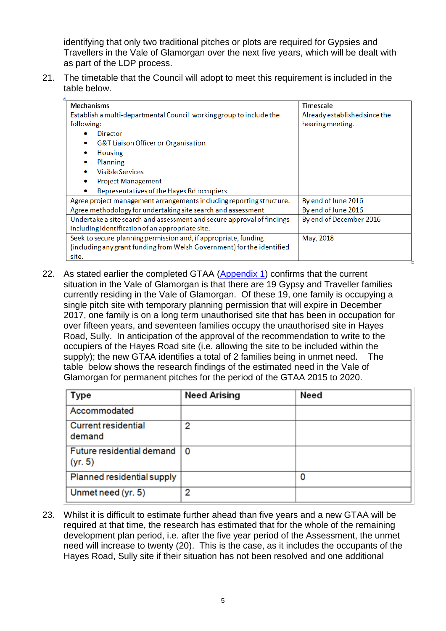identifying that only two traditional pitches or plots are required for Gypsies and Travellers in the Vale of Glamorgan over the next five years, which will be dealt with as part of the LDP process.

21. The timetable that the Council will adopt to meet this requirement is included in the table below.

| <b>Mechanisms</b>                                                      | Timescale                     |
|------------------------------------------------------------------------|-------------------------------|
| Establish a multi-departmental Council working group to include the    | Already established since the |
| following:                                                             | hearing meeting.              |
| Director                                                               |                               |
| <b>G&amp;T Liaison Officer or Organisation</b>                         |                               |
| <b>Housing</b><br>۰                                                    |                               |
| Planning                                                               |                               |
| <b>Visible Services</b><br>۰                                           |                               |
| <b>Project Management</b>                                              |                               |
| Representatives of the Hayes Rd occupiers                              |                               |
| Agree project management arrangements including reporting structure.   | By end of June 2016           |
| Agree methodology for undertaking site search and assessment           | By end of June 2016           |
| Undertake a site search and assessment and secure approval of findings | By end of December 2016       |
| including identification of an appropriate site.                       |                               |
| Seek to secure planning permission and, if appropriate, funding        | May, 2018                     |
| (including any grant funding from Welsh Government) for the identified |                               |
| site.                                                                  |                               |

22. As stated earlier the completed GTAA [\(Appendix 1\)](http://www.valeofglamorgan.gov.uk/Documents/_Committee%20Reports/Cabinet/2016/16-06-06/Appendices/Vale-of-Glamorgan-Gypsy-and-Traveller-Accommodation-Assessment-May-2016-Appendix-1.pdf) confirms that the current situation in the Vale of Glamorgan is that there are 19 Gypsy and Traveller families currently residing in the Vale of Glamorgan. Of these 19, one family is occupying a single pitch site with temporary planning permission that will expire in December 2017, one family is on a long term unauthorised site that has been in occupation for over fifteen years, and seventeen families occupy the unauthorised site in Hayes Road, Sully. In anticipation of the approval of the recommendation to write to the occupiers of the Hayes Road site (i.e. allowing the site to be included within the supply); the new GTAA identifies a total of 2 families being in unmet need. The table below shows the research findings of the estimated need in the Vale of Glamorgan for permanent pitches for the period of the GTAA 2015 to 2020.

| Type                                 | <b>Need Arising</b> | Need |
|--------------------------------------|---------------------|------|
| Accommodated                         |                     |      |
| <b>Current residential</b><br>demand | 2                   |      |
| Future residential demand<br>(yr. 5) | 0                   |      |
| Planned residential supply           |                     | ο    |
| Unmet need (yr. 5)                   | 2                   |      |

23. Whilst it is difficult to estimate further ahead than five years and a new GTAA will be required at that time, the research has estimated that for the whole of the remaining development plan period, i.e. after the five year period of the Assessment, the unmet need will increase to twenty (20). This is the case, as it includes the occupants of the Hayes Road, Sully site if their situation has not been resolved and one additional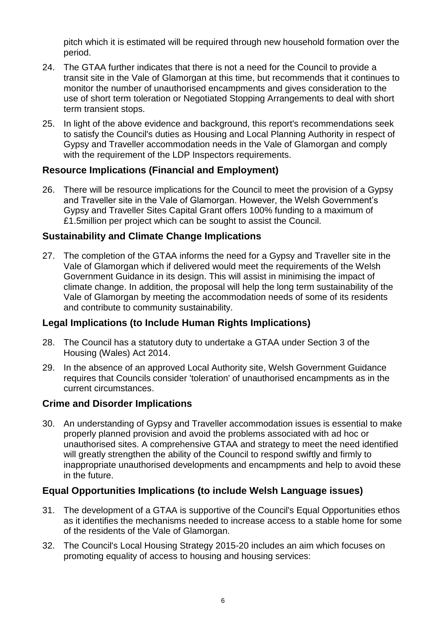pitch which it is estimated will be required through new household formation over the period.

- 24. The GTAA further indicates that there is not a need for the Council to provide a transit site in the Vale of Glamorgan at this time, but recommends that it continues to monitor the number of unauthorised encampments and gives consideration to the use of short term toleration or Negotiated Stopping Arrangements to deal with short term transient stops.
- 25. In light of the above evidence and background, this report's recommendations seek to satisfy the Council's duties as Housing and Local Planning Authority in respect of Gypsy and Traveller accommodation needs in the Vale of Glamorgan and comply with the requirement of the LDP Inspectors requirements.

### **Resource Implications (Financial and Employment)**

26. There will be resource implications for the Council to meet the provision of a Gypsy and Traveller site in the Vale of Glamorgan. However, the Welsh Government's Gypsy and Traveller Sites Capital Grant offers 100% funding to a maximum of £1.5million per project which can be sought to assist the Council.

### **Sustainability and Climate Change Implications**

27. The completion of the GTAA informs the need for a Gypsy and Traveller site in the Vale of Glamorgan which if delivered would meet the requirements of the Welsh Government Guidance in its design. This will assist in minimising the impact of climate change. In addition, the proposal will help the long term sustainability of the Vale of Glamorgan by meeting the accommodation needs of some of its residents and contribute to community sustainability.

## **Legal Implications (to Include Human Rights Implications)**

- 28. The Council has a statutory duty to undertake a GTAA under Section 3 of the Housing (Wales) Act 2014.
- 29. In the absence of an approved Local Authority site, Welsh Government Guidance requires that Councils consider 'toleration' of unauthorised encampments as in the current circumstances.

## **Crime and Disorder Implications**

30. An understanding of Gypsy and Traveller accommodation issues is essential to make properly planned provision and avoid the problems associated with ad hoc or unauthorised sites. A comprehensive GTAA and strategy to meet the need identified will greatly strengthen the ability of the Council to respond swiftly and firmly to inappropriate unauthorised developments and encampments and help to avoid these in the future.

## **Equal Opportunities Implications (to include Welsh Language issues)**

- 31. The development of a GTAA is supportive of the Council's Equal Opportunities ethos as it identifies the mechanisms needed to increase access to a stable home for some of the residents of the Vale of Glamorgan.
- 32. The Council's Local Housing Strategy 2015-20 includes an aim which focuses on promoting equality of access to housing and housing services: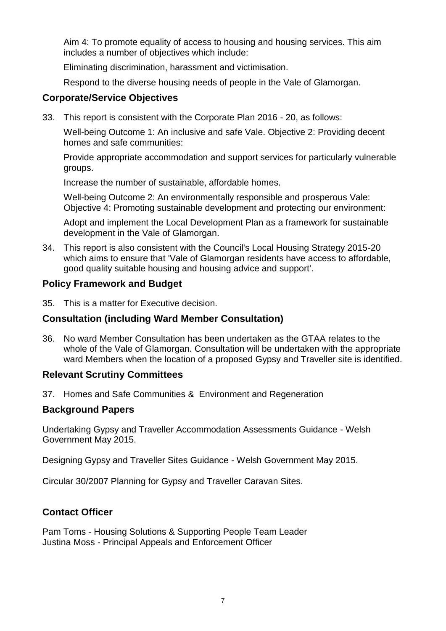Aim 4: To promote equality of access to housing and housing services. This aim includes a number of objectives which include:

Eliminating discrimination, harassment and victimisation.

Respond to the diverse housing needs of people in the Vale of Glamorgan.

#### **Corporate/Service Objectives**

33. This report is consistent with the Corporate Plan 2016 - 20, as follows:

Well-being Outcome 1: An inclusive and safe Vale. Objective 2: Providing decent homes and safe communities:

Provide appropriate accommodation and support services for particularly vulnerable groups.

Increase the number of sustainable, affordable homes.

Well-being Outcome 2: An environmentally responsible and prosperous Vale: Objective 4: Promoting sustainable development and protecting our environment:

Adopt and implement the Local Development Plan as a framework for sustainable development in the Vale of Glamorgan.

34. This report is also consistent with the Council's Local Housing Strategy 2015-20 which aims to ensure that 'Vale of Glamorgan residents have access to affordable, good quality suitable housing and housing advice and support'.

#### **Policy Framework and Budget**

35. This is a matter for Executive decision.

## **Consultation (including Ward Member Consultation)**

36. No ward Member Consultation has been undertaken as the GTAA relates to the whole of the Vale of Glamorgan. Consultation will be undertaken with the appropriate ward Members when the location of a proposed Gypsy and Traveller site is identified.

#### **Relevant Scrutiny Committees**

37. Homes and Safe Communities & Environment and Regeneration

#### **Background Papers**

Undertaking Gypsy and Traveller Accommodation Assessments Guidance - Welsh Government May 2015.

Designing Gypsy and Traveller Sites Guidance - Welsh Government May 2015.

Circular 30/2007 Planning for Gypsy and Traveller Caravan Sites.

#### **Contact Officer**

Pam Toms - Housing Solutions & Supporting People Team Leader Justina Moss - Principal Appeals and Enforcement Officer